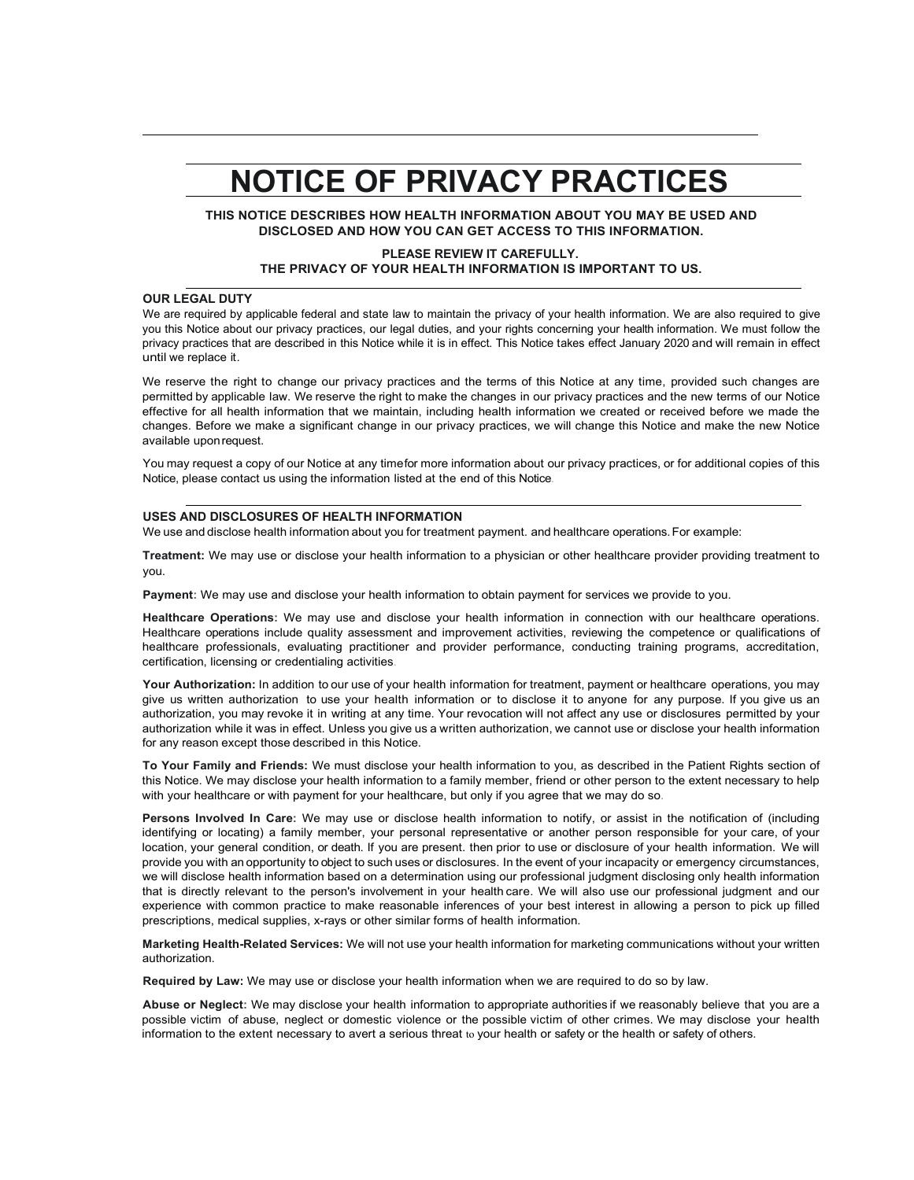## **NOTICE OF PRIVACY PRACTICES**

**THIS NOTICE DESCRIBES HOW HEALTH INFORMATION ABOUT YOU MAY BE USED AND DISCLOSED AND HOW YOU CAN GET ACCESS TO THIS INFORMATION.**

#### **PLEASE REVIEW IT CAREFULLY. THE PRIVACY OF YOUR HEALTH INFORMATION IS IMPORTANT TO US.**

### **OUR LEGAL DUTY**

We are required by applicable federal and state law to maintain the privacy of your health information. We are also required to give you this Notice about our privacy practices, our legal duties, and your rights concerning your health information. We must follow the privacy practices that are described in this Notice while it is in effect. This Notice takes effect January 2020 and will remain in effect until we replace it.

We reserve the right to change our privacy practices and the terms of this Notice at any time, provided such changes are permitted by applicable law. We reserve the right to make the changes in our privacy practices and the new terms of our Notice effective for all health information that we maintain, including health information we created or received before we made the changes. Before we make a significant change in our privacy practices, we will change this Notice and make the new Notice available uponrequest.

You may request a copy of our Notice at any time for more information about our privacy practices, or for additional copies of this Notice, please contact us using the information listed at the end of this Notice.

#### **USES AND DISCLOSURES OF HEALTH INFORMATION**

We use and disclose health information about you for treatment payment. and healthcare operations.For example:

**Treatment:** We may use or disclose your health information to a physician or other healthcare provider providing treatment to you.

**Payment:** We may use and disclose your health information to obtain payment for services we provide to you.

**Healthcare Operations:** We may use and disclose your health information in connection with our healthcare operations. Healthcare operations include quality assessment and improvement activities, reviewing the competence or qualifications of healthcare professionals, evaluating practitioner and provider performance, conducting training programs, accreditation, certification, licensing or credentialing activities.

**Your Authorization:** In addition to our use of your health information for treatment, payment or healthcare operations, you may give us written authorization to use your health information or to disclose it to anyone for any purpose. If you give us an authorization, you may revoke it in writing at any time. Your revocation will not affect any use or disclosures permitted by your authorization while it was in effect. Unless you give us a written authorization, we cannot use or disclose your health information for any reason except those described in this Notice.

**To Your Family and Friends:** We must disclose your health information to you, as described in the Patient Rights section of this Notice. We may disclose your health information to a family member, friend or other person to the extent necessary to help with your healthcare or with payment for your healthcare, but only if you agree that we may do so.

**Persons Involved In Care:** We may use or disclose health information to notify, or assist in the notification of (including identifying or locating) a family member, your personal representative or another person responsible for your care, of your location, your general condition, or death. If you are present. then prior to use or disclosure of your health information. We will provide you with an opportunity to object to such uses or disclosures. In the event of your incapacity or emergency circumstances, we will disclose health information based on a determination using our professional judgment disclosing only health information that is directly relevant to the person's involvement in your health care. We will also use our professional judgment and our experience with common practice to make reasonable inferences of your best interest in allowing a person to pick up filled prescriptions, medical supplies, x-rays or other similar forms of health information.

**Marketing Health-Related Services:** We will not use your health information for marketing communications without your written authorization.

**Required by Law:** We may use or disclose your health information when we are required to do so by law.

**Abuse or Neglect:** We may disclose your health information to appropriate authorities if we reasonably believe that you are a possible victim of abuse, neglect or domestic violence or the possible victim of other crimes. We may disclose your health information to the extent necessary to avert a serious threat to your health or safety or the health or safety of others.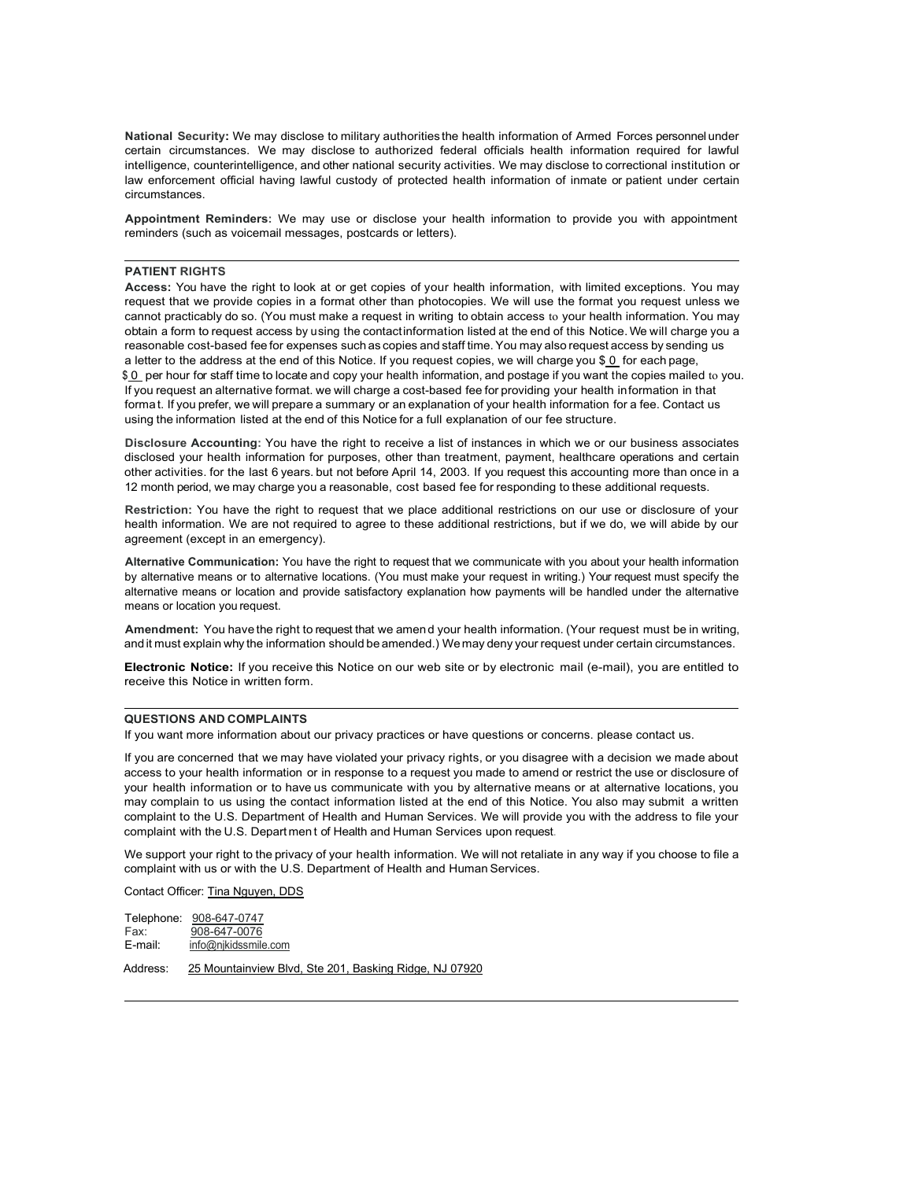**National Security:** We may disclose to military authorities the health information of Armed Forces personnel under certain circumstances. We may disclose to authorized federal officials health information required for lawful intelligence, counterintelligence, and other national security activities. We may disclose to correctional institution or law enforcement official having lawful custody of protected health information of inmate or patient under certain circumstances.

**Appointment Reminders:** We may use or disclose your health information to provide you with appointment reminders (such as voicemail messages, postcards or letters).

#### **PATIENT RIGHTS**

**Access:** You have the right to look at or get copies of your health information, with limited exceptions. You may request that we provide copies in a format other than photocopies. We will use the format you request unless we cannot practicably do so. (You must make a request in writing to obtain access to your health information. You may obtain a form to request access by using the contactinformation listed at the end of this Notice.We will charge you a reasonable cost-based fee for expenses such as copies and staff time.You may also request access by sending us a letter to the address at the end of this Notice. If you request copies, we will charge you \$ 0 for each page,  $$0$  per hour for staff time to locate and copy your health information, and postage if you want the copies mailed to you. If you request an alternative format. we will charge a cost-based fee for providing your health information in that format. If you prefer, we will prepare a summary or an explanation of your health information for a fee. Contact us using the information listed at the end of this Notice for a full explanation of our fee structure.

**Disclosure Accounting:** You have the right to receive a list of instances in which we or our business associates disclosed your health information for purposes, other than treatment, payment, healthcare operations and certain other activities. for the last 6 years. but not before April 14, 2003. If you request this accounting more than once in a 12 month period, we may charge you a reasonable, cost based fee for responding to these additional requests.

**Restriction:** You have the right to request that we place additional restrictions on our use or disclosure of your health information. We are not required to agree to these additional restrictions, but if we do, we will abide by our agreement (except in an emergency).

**Alternative Communication:** You have the right to request that we communicate with you about your health information by alternative means or to alternative locations. (You must make your request in writing.) Your request must specify the alternative means or location and provide satisfactory explanation how payments will be handled under the alternative means or location you request.

**Amendment:** You have the right to request that we amen d your health information. (Your request must be in writing, and it must explain why the information should be amended.) Wemay deny your request under certain circumstances.

**Electronic Notice:** If you receive this Notice on our web site or by electronic mail (e-mail), you are entitled to receive this Notice in written form.

#### **QUESTIONS AND COMPLAINTS**

If you want more information about our privacy practices or have questions or concerns. please contact us.

If you are concerned that we may have violated your privacy rights, or you disagree with a decision we made about access to your health information or in response to a request you made to amend or restrict the use or disclosure of your health information or to have us communicate with you by alternative means or at alternative locations, you may complain to us using the contact information listed at the end of this Notice. You also may submit a written complaint to the U.S. Department of Health and Human Services. We will provide you with the address to file your complaint with the U.S. Departmen t of Health and Human Services upon request.

We support your right to the privacy of your health information. We will not retaliate in any way if you choose to file a complaint with us or with the U.S. Department of Health and Human Services.

Contact Officer: Tina Nguyen, DDS

| Telephone: | 908-647-0747         |
|------------|----------------------|
| Fax:       | 908-647-0076         |
| E-mail:    | info@nikidssmile.com |

Address: 25 Mountainview Blvd, Ste 201, Basking Ridge, NJ 07920